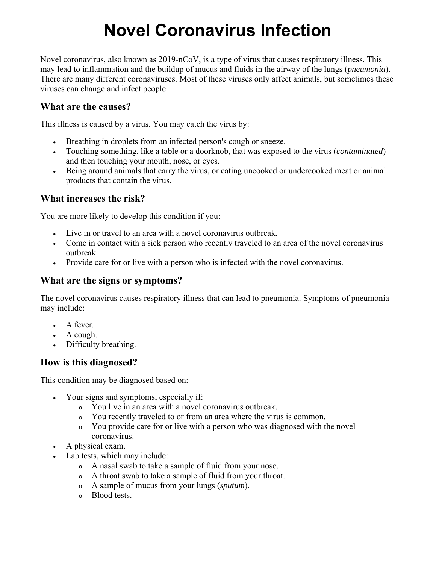# **Novel Coronavirus Infection**

Novel coronavirus, also known as 2019-nCoV, is a type of virus that causes respiratory illness. This may lead to inflammation and the buildup of mucus and fluids in the airway of the lungs (*pneumonia*). There are many different coronaviruses. Most of these viruses only affect animals, but sometimes these viruses can change and infect people.

# **What are the causes?**

This illness is caused by a virus. You may catch the virus by:

- Breathing in droplets from an infected person's cough or sneeze.
- Touching something, like a table or a doorknob, that was exposed to the virus (*contaminated*) and then touching your mouth, nose, or eyes.
- Being around animals that carry the virus, or eating uncooked or undercooked meat or animal products that contain the virus.

## **What increases the risk?**

You are more likely to develop this condition if you:

- Live in or travel to an area with a novel coronavirus outbreak.
- Come in contact with a sick person who recently traveled to an area of the novel coronavirus outbreak.
- Provide care for or live with a person who is infected with the novel coronavirus.

## **What are the signs or symptoms?**

The novel coronavirus causes respiratory illness that can lead to pneumonia. Symptoms of pneumonia may include:

- A fever.
- A cough.
- Difficulty breathing.

# **How is this diagnosed?**

This condition may be diagnosed based on:

- Your signs and symptoms, especially if:
	- <sup>o</sup> You live in an area with a novel coronavirus outbreak.
	- <sup>o</sup> You recently traveled to or from an area where the virus is common.
	- <sup>o</sup> You provide care for or live with a person who was diagnosed with the novel coronavirus.
- A physical exam.
- Lab tests, which may include:
	- <sup>o</sup> A nasal swab to take a sample of fluid from your nose.
	- <sup>o</sup> A throat swab to take a sample of fluid from your throat.
	- <sup>o</sup> A sample of mucus from your lungs (*sputum*).
	- <sup>o</sup> Blood tests.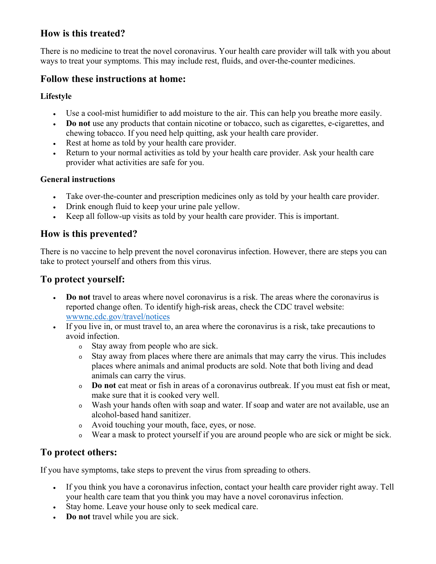# **How is this treated?**

There is no medicine to treat the novel coronavirus. Your health care provider will talk with you about ways to treat your symptoms. This may include rest, fluids, and over-the-counter medicines.

# **Follow these instructions at home:**

#### **Lifestyle**

- Use a cool-mist humidifier to add moisture to the air. This can help you breathe more easily.
- **Do not** use any products that contain nicotine or tobacco, such as cigarettes, e-cigarettes, and chewing tobacco. If you need help quitting, ask your health care provider.
- Rest at home as told by your health care provider.
- Return to your normal activities as told by your health care provider. Ask your health care provider what activities are safe for you.

#### **General instructions**

- Take over-the-counter and prescription medicines only as told by your health care provider.
- Drink enough fluid to keep your urine pale yellow.
- Keep all follow-up visits as told by your health care provider. This is important.

# **How is this prevented?**

There is no vaccine to help prevent the novel coronavirus infection. However, there are steps you can take to protect yourself and others from this virus.

# **To protect yourself:**

- **Do not** travel to areas where novel coronavirus is a risk. The areas where the coronavirus is reported change often. To identify high-risk areas, check the CDC travel website: wwwnc.cdc.gov/travel/notices
- If you live in, or must travel to, an area where the coronavirus is a risk, take precautions to avoid infection.
	- <sup>o</sup> Stay away from people who are sick.
	- <sup>o</sup> Stay away from places where there are animals that may carry the virus. This includes places where animals and animal products are sold. Note that both living and dead animals can carry the virus.
	- <sup>o</sup> **Do not** eat meat or fish in areas of a coronavirus outbreak. If you must eat fish or meat, make sure that it is cooked very well.
	- <sup>o</sup> Wash your hands often with soap and water. If soap and water are not available, use an alcohol-based hand sanitizer.
	- <sup>o</sup> Avoid touching your mouth, face, eyes, or nose.
	- <sup>o</sup> Wear a mask to protect yourself if you are around people who are sick or might be sick.

# **To protect others:**

If you have symptoms, take steps to prevent the virus from spreading to others.

- If you think you have a coronavirus infection, contact your health care provider right away. Tell your health care team that you think you may have a novel coronavirus infection.
- Stay home. Leave your house only to seek medical care.
- **Do not** travel while you are sick.